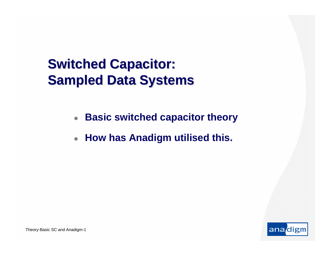## **Switched Capacitor: Sampled Data Systems**

- $\bullet$ **Basic switched capacitor theory**
- $\bullet$ **How has Anadigm utilised this.**

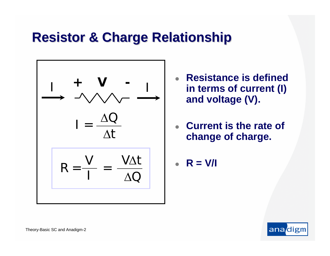### **Resistor & Charge Relationship Resistor & Charge Relationship**



- z **Resistance is defined in terms of current (I) and voltage (V).**
- z **Current is the rate of change of charge.**
- z**R = V/I**

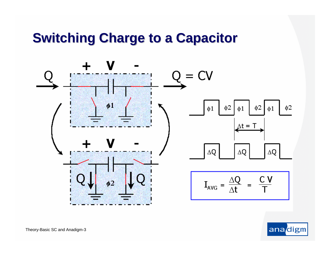## **Switching Charge to a Capacitor Switching Charge to a Capacitor**



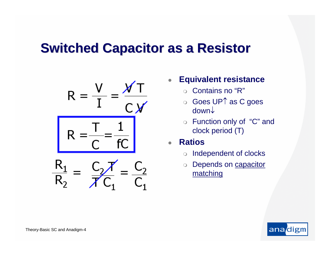#### **Switched Capacitor as a Resistor**



- z **Equivalent resistance**
	- $\circ$ Contains no "R"
	- Goes UP↑ as C goes down↓
	- Function only of "C" and clock period (T)
- z **Ratios**
	- $\circ$ Independent of clocks
	- $\bigcirc$  Depends on capacitor matching

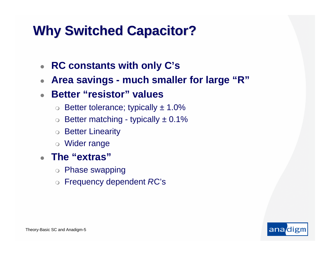## **Why Switched Capacitor? Why Switched Capacitor?**

- z **RC constants with only C's**
- $\bullet$ **Area savings - much smaller for large "R"**
- $\bullet$  **Better "resistor" values**
	- $\circ~$  Better tolerance; typically  $\pm~1.0\%$
	- $\circ~$  Better matching typically  $\pm~0.1\%$
	- $\bigcirc$ Better Linearity
	- Wider range
- z **The "extras"** 
	- Phase swapping
	- Frequency dependent *R*C's

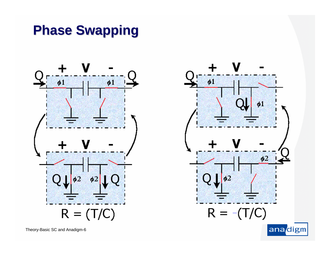## **Phase Swapping Phase Swapping**



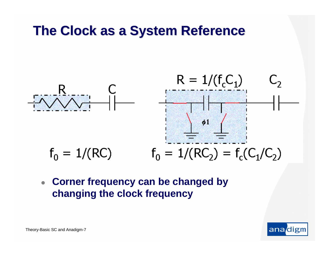## **The Clock as a System Reference The Clock as a System Reference**



 $\bullet$  **Corner frequency can be changed by changing the clock frequency**

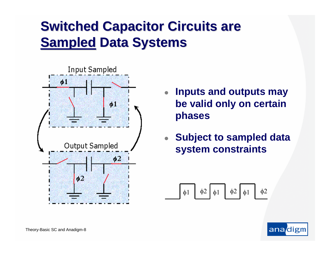# **Switched Capacitor Circuits are Sampled Data Systems**



- $\bullet$  **Inputs and outputs may be valid only on certain phases**
- $\bullet$  **Subject to sampled data system constraints**

$$
\boxed{\phi1 \quad \phi2 \quad \phi1 \quad \phi2 \quad \phi1 \quad \phi2}
$$

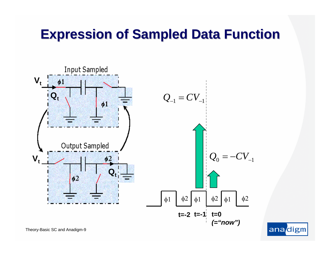## **Expression of Sampled Data Function Expression of Sampled Data Function**



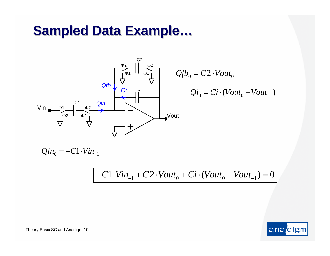## **Sampled Data Example...**



$$
Qf_{0} = C2 \cdot Vout_{0}
$$
\n
$$
Qi_{0} = Ci \cdot (Vout_{0} - Vout_{-1})
$$

 $Q$ in<sub>0</sub> =  $-C1 \cdot Vin_{-1}$ 

−  $C1$ ⋅*Vin*<sub>−1</sub> +  $C2$ ⋅*Vout*<sub>0</sub> +  $Ci$ ⋅(*Vout*<sub>0</sub> − *Vout*<sub>−1</sub>) = 0

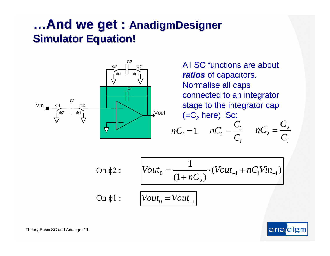#### **…And we get : AnadigmDesigner Simulator Equation! Simulator Equation!**



All SC functions are about *ratios* of capacitors. Normalise all caps connected to an integrator stage to the integrator cap (=C $_{\rm 2}$  here). So:

$$
nC_i = 1 \qquad nC_1 = \frac{C_1}{C_i} \qquad nC_2 = \frac{C_2}{C_i}
$$

On 
$$
\phi
$$
2 :  $Vout_0 = \frac{1}{(1 + nC_2)} \cdot (Vout_{-1} + nC_1 Vin_{-1})$   
On  $\phi$ 1 :  $Vout_0 = Vout_{-1}$ 

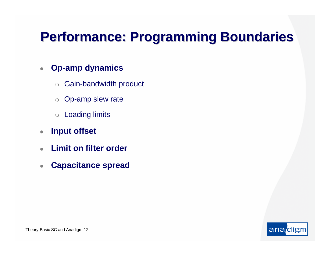## **Performance: Programming Boundaries Performance: Programming Boundaries**

#### $\bullet$ **Op-amp dynamics**

- $\bigcirc$ Gain-bandwidth product
- o Op-amp slew rate
- $\circ$ Loading limits
- $\bullet$ **Input offset**
- $\bullet$ **Limit on filter order**
- $\bullet$ **Capacitance spread**

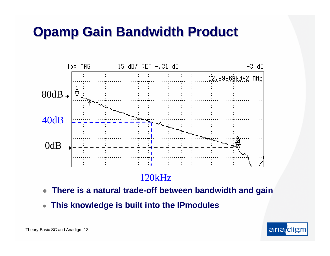## **Opamp Gain Bandwidth Product**



#### 120kHz

- $\bullet$ **There is a natural trade-off between bandwidth and gain**
- $\bullet$ **This knowledge is built into the IPmodules**

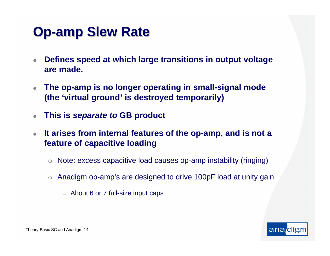## **Op-amp Slew Rate amp Slew Rate**

- $\bullet$  **Defines speed at which large transitions in output voltage are made.**
- $\bullet$  **The op-amp is no longer operating in small-signal mode (the 'virtual ground' is destroyed temporarily)**
- $\bullet$ **This is** *separate to* **GB product**
- $\bullet$  **It arises from internal features of the op-amp, and is not a feature of capacitive loading**
	- $\circ$  Note: excess capacitive load causes op-amp instability (ringing)
	- $\circ~$  Anadigm op-amp's are designed to drive 100pF load at unity gain
		- About 6 or 7 full-size input caps

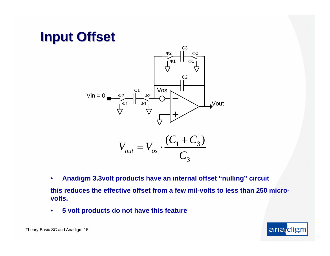## **Input Offset Input Offset**



$$
V_{out} = V_{os} \cdot \frac{(C_1 + C_3)}{C_3}
$$

- • **Anadigm 3.3volt products have an internal offset "nulling" circuit this reduces the effective offset from a few mil-volts to less than 250 microvolts.**
- •**5 volt products do not have this feature**

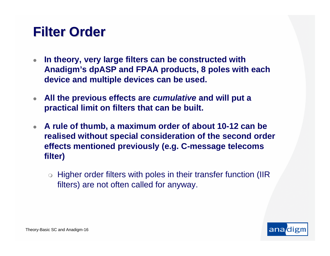## **Filter Order Filter Order**

- $\bullet$  **In theory, very large filters can be constructed with Anadigm's dpASP and FPAA products, 8 poles with each device and multiple devices can be used.**
- $\bullet$  **All the previous effects are** *cumulative* **and will put a practical limit on filters that can be built.**
- **A rule of thumb, a maximum order of about 10-12 can be realised without special consideration of the second order effects mentioned previously (e.g. C-message telecoms filter)**
	- $\circ$  Higher order filters with poles in their transfer function (IIR filters) are not often called for anyway.

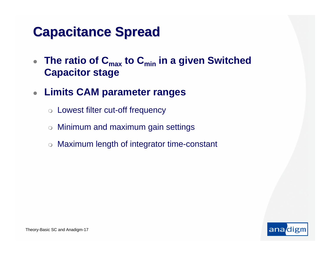## **Capacitance Spread Capacitance Spread**

- $\bullet$ • The ratio of C<sub>max</sub> to C<sub>min</sub> in a given Switched **Capacitor stage**
- $\bullet$  **Limits CAM parameter ranges**
	- o Lowest filter cut-off frequency
	- $\bigcirc$ Minimum and maximum gain settings
	- Maximum length of integrator time-constant